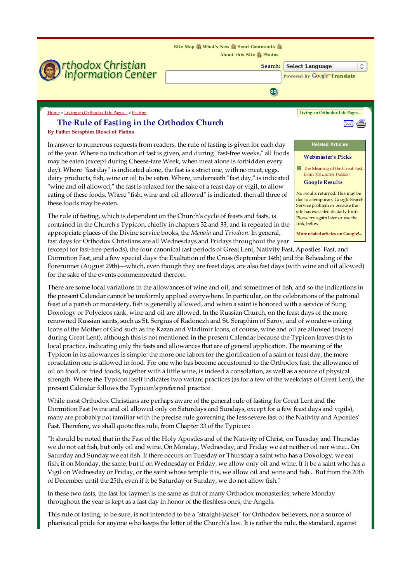**Site Map What's New Send Comments**



The rule of fasting, which is dependent on the Church's cycle of feasts and fasts, is contained in the Church's Typicon, chiefly in chapters 32 and 33, and is repeated in the appropriate places of the Divine service books, the Menaia and Triodion. In general, fast days for Orthodox Christians are all Wednesdays and Fridays throughout the year

site has exceeded its daily limit. Please try again later or use the link, below.

More related articles on Google!..

(except for fast-free periods), the four canonical fast periods of Great Lent, Nativity Fast, Apostles' Fast, and Dormition Fast, and a few special days: the Exaltation of the Cross (September 14th) and the Beheading of the Forerunner (August 29th)—which, even though they are feast days, are also fast days (with wine and oil allowed) for the sake of the events commemorated thereon.

There are some local variations in the allowances of wine and oil, and sometimes of fish, and so the indications in the present Calendar cannot be uniformly applied everywhere. In particular, on the celebrations of the patronal feast of a parish or monastery, fish is generally allowed, and when a saint is honored with a service of Sung Doxology or Polyeleos rank, wine and oil are allowed. In the Russian Church, on the feast days of the more renowned Russian saints, such as St. Sergius of Radonezh and St. Seraphim of Sarov, and of wonderworking Icons of the Mother of God such as the Kazan and Vladimir Icons, of course, wine and oil are allowed (except during Great Lent), although this is not mentioned in the present Calendar because the Typicon leaves this to local practice, indicating only the fasts and allowances that are of general application. The meaning of the Typicon in its allowances is simple: the more one labors for the glorification of a saint or feast day, the more consolation one is allowed in food. For one who has become accustomed to the Orthodox fast, the allowance of oil on food, or fried foods, together with a little wine, is indeed a consolation, as well as a source of physical strength. Where the Typicon itself indicates two variant practices (as for a few of the weekdays of Great Lent), the present Calendar follows the Typicon's preferred practice.

While most Orthodox Christians are perhaps aware of the general rule of fasting for Great Lent and the Dormition Fast (wine and oil allowed only on Saturdays and Sundays, except for a few feast days and vigils), many are probably not familiar with the precise rule governing the less severe fast of the Nativity and Apostles' Fast. Therefore, we shall quote this rule, from Chapter 33 of the Typicon:

"It should be noted that in the Fast of the Holy Apostles and of the Nativity of Christ, on Tuesday and Thursday we do not eat fish, but only oil and wine. On Monday, Wednesday, and Friday we eat neither oil nor wine... On Saturday and Sunday we eat fish. If there occurs on Tuesday or Thursday a saint who has a Doxology, we eat fish; if on Monday, the same; but if on Wednesday or Friday, we allow only oil and wine. If it be a saint who has a Vigil on Wednesday or Friday, or the saint whose temple it is, we allow oil and wine and fish... But from the 20th of December until the 25th, even if it be Saturday or Sunday, we do not allow fish."

In these two fasts, the fast for laymen is the same as that of many Orthodox monasteries, where Monday throughout the year is kept as a fast day in honor of the fleshless ones, the Angels.

This rule of fasting, to be sure, is not intended to be a "straight-jacket" for Orthodox believers, nor a source of pharisaical pride for anyone who keeps the letter of the Church's law. It is rather the rule, the standard, against